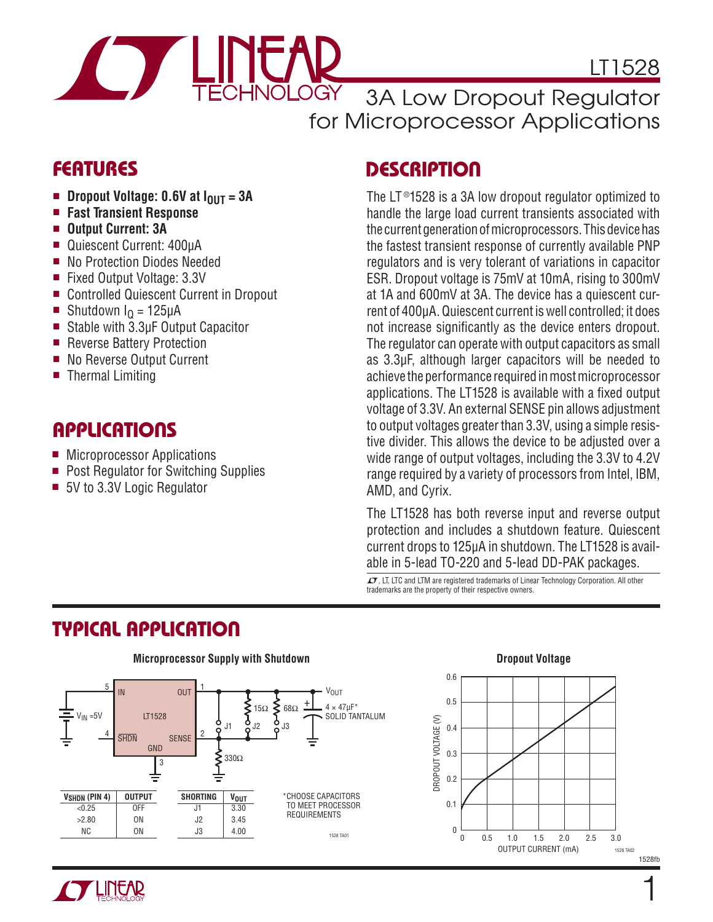

LT1528

3A Low Dropout Regulator for Microprocessor Applications

### **FEATURES**

- $\blacksquare$  Dropout Voltage: 0.6V at  $I_{\text{OUT}} = 3A$
- <sup>n</sup> **Fast Transient Response**
- <sup>n</sup> **Output Current: 3A**
- Quiescent Current: 400uA
- No Protection Diodes Needed
- Fixed Output Voltage: 3.3V
- Controlled Quiescent Current in Dropout
- Shutdown  $I<sub>0</sub> = 125 \mu A$
- Stable with 3.3µF Output Capacitor
- Reverse Battery Protection
- No Reverse Output Current
- $\blacksquare$  Thermal Limiting

#### **APPLICATIONS**

- Microprocessor Applications
- **Post Regulator for Switching Supplies**
- 5V to 3.3V Logic Regulator

## **DESCRIPTION**

The LT<sup>®</sup>1528 is a 3A low dropout regulator optimized to handle the large load current transients associated with the current generation of microprocessors. This device has the fastest transient response of currently available PNP regulators and is very tolerant of variations in capacitor ESR. Dropout voltage is 75mV at 10mA, rising to 300mV at 1A and 600mV at 3A. The device has a quiescent current of 400μA. Quiescent current is well controlled; it does not increase significantly as the device enters dropout. The regulator can operate with output capacitors as small as 3.3μF, although larger capacitors will be needed to achieve the performance required in most microprocessor applications. The LT1528 is available with a fixed output voltage of 3.3V. An external SENSE pin allows adjustment to output voltages greater than 3.3V, using a simple resistive divider. This allows the device to be adjusted over a wide range of output voltages, including the 3.3V to 4.2V range required by a variety of processors from Intel, IBM, AMD, and Cyrix.

The LT1528 has both reverse input and reverse output protection and includes a shutdown feature. Quiescent current drops to 125μA in shutdown. The LT1528 is available in 5-lead TO-220 and 5-lead DD-PAK packages.

LT, LT, LTC and LTM are registered trademarks of Linear Technology Corporation. All other trademarks are the property of their respective owners.

## **TYPICAL APPLICATION**





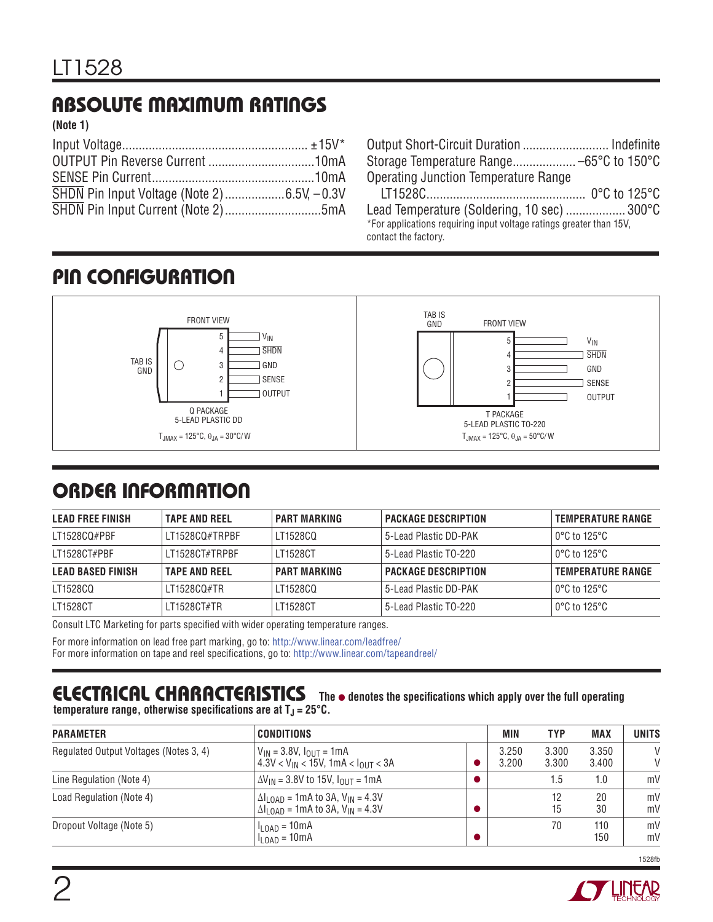# **ABSOLUTE MAXIMUM RATINGS**

**(Note 1)**

| Output Short-Circuit Duration  Indefinite                                                   |  |
|---------------------------------------------------------------------------------------------|--|
|                                                                                             |  |
| <b>Operating Junction Temperature Range</b>                                                 |  |
|                                                                                             |  |
| Lead Temperature (Soldering, 10 sec)  300°C                                                 |  |
| *For applications requiring input voltage ratings greater than 15V,<br>contact the factory. |  |

## **PIN CONFIGURATION**



## **ORDER INFORMATION**

| <b>LEAD FREE FINISH</b>  | <b>TAPE AND REEL</b> | PART MARKING        | <b>PACKAGE DESCRIPTION</b> | <b>TEMPERATURE RANGE</b>          |
|--------------------------|----------------------|---------------------|----------------------------|-----------------------------------|
| LT1528CQ#PBF             | LT1528CQ#TRPBF       | LT1528CQ            | 5-Lead Plastic DD-PAK      | $\log$ to 125°C                   |
| LT1528CT#PBF             | LT1528CT#TRPBF       | LT1528CT            | 5-Lead Plastic TO-220      | $0^{\circ}$ C to 125 $^{\circ}$ C |
| <b>LEAD BASED FINISH</b> | <b>TAPE AND REEL</b> | <b>PART MARKING</b> | <b>PACKAGE DESCRIPTION</b> | <b>TEMPERATURE RANGE</b>          |
| LT1528CQ                 | IT1528CO#TR          | LT1528CQ            | 5-Lead Plastic DD-PAK      | $0^{\circ}$ C to 125 $^{\circ}$ C |
| LT1528CT                 | LT1528CT#TR          | LT1528CT            | 5-Lead Plastic TO-220      | $0^{\circ}$ C to 125 $^{\circ}$ C |

Consult LTC Marketing for parts specified with wider operating temperature ranges.

For more information on lead free part marking, go to: http://www.linear.com/leadfree/

For more information on tape and reel specifications, go to: http://www.linear.com/tapeandreel/

#### **ELECTRICAL CHARACTERISTICS** The  $\bullet$  denotes the specifications which apply over the full operating **temperature range, otherwise specifications are at**  $T_J = 25^{\circ}C$ **.**

| <b>PARAMETER</b>                       | <b>CONDITIONS</b>                                                                                                                     | MIN            | TYP            | <b>MAX</b>     | <b>UNITS</b> |
|----------------------------------------|---------------------------------------------------------------------------------------------------------------------------------------|----------------|----------------|----------------|--------------|
| Regulated Output Voltages (Notes 3, 4) | $V_{IN}$ = 3.8V, $I_{OUT}$ = 1mA<br>$1.3$ V < V <sub>IN</sub> < 15V, 1mA < I <sub>OUT</sub> < 3A                                      | 3.250<br>3.200 | 3.300<br>3.300 | 3.350<br>3.400 | $\vee$<br>V  |
| Line Regulation (Note 4)               | $\Delta V_{IN}$ = 3.8V to 15V, $I_{OII}$ = 1mA                                                                                        |                | 1.5            | 1.0            | mV           |
| Load Regulation (Note 4)               | $\Delta I_{\text{LOAD}}$ = 1mA to 3A, V <sub>IN</sub> = 4.3V<br>$\Delta I_{\text{LOAD}} = 1 \text{mA}$ to 3A, $V_{\text{IN}} = 4.3 V$ |                | 12<br>15       | 20<br>30       | mV<br>mV     |
| Dropout Voltage (Note 5)               | $l_{\text{LOAD}} = 10 \text{mA}$<br>$I_{\text{LOAD}} = 10 \text{mA}$                                                                  |                | 70             | 110<br>150     | mV<br>mV     |



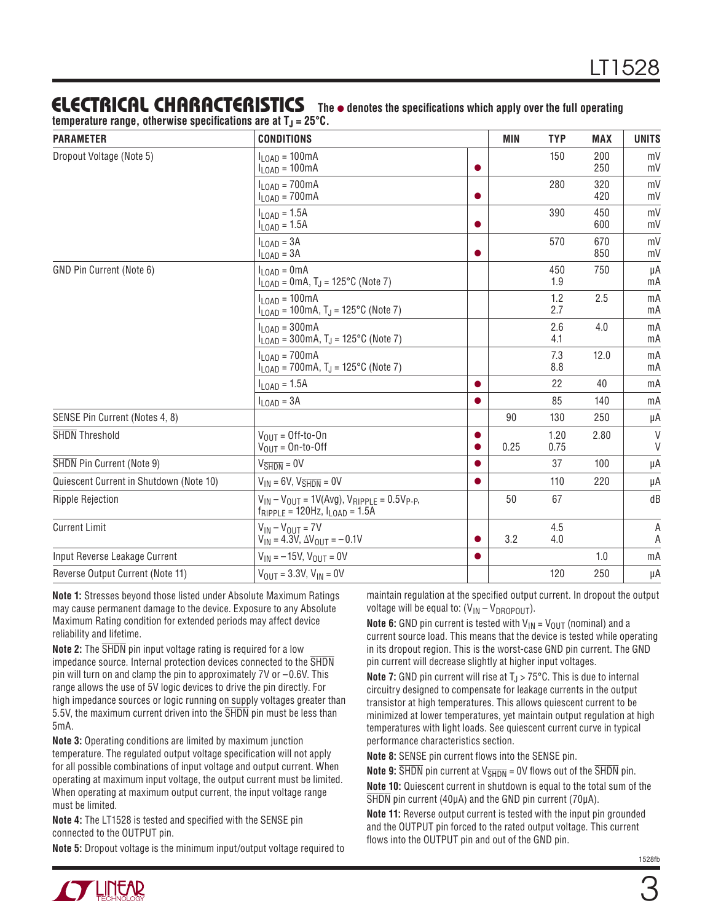# **ELECTRICAL CHARACTERISTICS** The  $\bullet$  denotes the specifications which apply over the full operating

| temperature range, otherwise specifications are at T $_{\textrm{\scriptsize{J}}}$ = 25°C. |  |  |  |  |
|-------------------------------------------------------------------------------------------|--|--|--|--|
|-------------------------------------------------------------------------------------------|--|--|--|--|

| <b>PARAMETER</b>                        | <b>CONDITIONS</b>                                                                                    |           | <b>MIN</b> | <b>TYP</b>   | <b>MAX</b> | <b>UNITS</b> |
|-----------------------------------------|------------------------------------------------------------------------------------------------------|-----------|------------|--------------|------------|--------------|
| Dropout Voltage (Note 5)                | $I_{LOAD} = 100mA$<br>$I_{LOAD} = 100mA$                                                             | $\bullet$ |            | 150          | 200<br>250 | mV<br>mV     |
|                                         | $I_{LOAD} = 700mA$<br>$I_{LOAD} = 700mA$                                                             | $\bullet$ |            | 280          | 320<br>420 | mV<br>mV     |
|                                         | $I_{\text{LOAD}} = 1.5A$<br>$I_{LOAD} = 1.5A$                                                        | ●         |            | 390          | 450<br>600 | mV<br>mV     |
|                                         | $I_{\text{LOAD}} = 3A$<br>$I_{\text{LOAD}} = 3A$                                                     | $\bullet$ |            | 570          | 670<br>850 | mV<br>mV     |
| GND Pin Current (Note 6)                | $I_{LOAD} = 0mA$<br>$I_{\text{LOAD}} = 0 \text{mA}, T_J = 125^{\circ} \text{C}$ (Note 7)             |           |            | 450<br>1.9   | 750        | μA<br>mA     |
|                                         | $I_{LOAD} = 100mA$<br>$I_{\text{LOAD}} = 100 \text{mA}, T_J = 125 \text{°C}$ (Note 7)                |           |            | 1.2<br>2.7   | 2.5        | mA<br>mA     |
|                                         | $I_{LOAD} = 300mA$<br>$I_{10AD}$ = 300mA, T <sub>J</sub> = 125°C (Note 7)                            |           |            | 2.6<br>4.1   | 4.0        | mA<br>mA     |
|                                         | $I_{LOAD} = 700mA$<br>$I_{\text{LOAD}}$ = 700mA, T <sub>J</sub> = 125°C (Note 7)                     |           |            | 7.3<br>8.8   | 12.0       | mA<br>mA     |
|                                         | $I_{\text{LOAD}} = 1.5A$                                                                             | $\bullet$ |            | 22           | 40         | mA           |
|                                         | $I_{\text{LOAD}} = 3A$                                                                               | $\bullet$ |            | 85           | 140        | mA           |
| SENSE Pin Current (Notes 4, 8)          |                                                                                                      |           | 90         | 130          | 250        | μA           |
| <b>SHDN</b> Threshold                   | $V_{OIII} =$ Off-to-On<br>$V_{\text{OUT}} = \text{On-to-off}$                                        | ●         | 0.25       | 1.20<br>0.75 | 2.80       | V<br>$\vee$  |
| <b>SHDN</b> Pin Current (Note 9)        | $V_{\overline{SHDN}} = 0V$                                                                           | $\bullet$ |            | 37           | 100        | μA           |
| Quiescent Current in Shutdown (Note 10) | $V_{IN}$ = 6V, $V_{\overline{SHDN}}$ = 0V                                                            | $\bullet$ |            | 110          | 220        | μA           |
| <b>Ripple Rejection</b>                 | $V_{IN} - V_{OUIT} = 1V(Avg)$ , $V_{RIPPLE} = 0.5V_{P-P}$<br>$f_{RIPPLE}$ = 120Hz, $I_{LOAD}$ = 1.5A |           | 50         | 67           |            | dB           |
| <b>Current Limit</b>                    | $V_{IN} - V_{OUT} = 7V$<br>$V_{IN} = 4.3V$ , $\Delta V_{OUT} = -0.1V$                                | $\bullet$ | 3.2        | 4.5<br>4.0   |            | A<br>Α       |
| Input Reverse Leakage Current           | $V_{IN} = -15V$ , $V_{OIIT} = 0V$                                                                    | $\bullet$ |            |              | 1.0        | mA           |
| Reverse Output Current (Note 11)        | $V_{OIII}$ = 3.3V, $V_{IN}$ = 0V                                                                     |           |            | 120          | 250        | μA           |

**Note 1:** Stresses beyond those listed under Absolute Maximum Ratings may cause permanent damage to the device. Exposure to any Absolute Maximum Rating condition for extended periods may affect device reliability and lifetime.

**Note 2:** The SHDN pin input voltage rating is required for a low impedance source. Internal protection devices connected to the SHDN pin will turn on and clamp the pin to approximately 7V or –0.6V. This range allows the use of 5V logic devices to drive the pin directly. For high impedance sources or logic running on supply voltages greater than 5.5V, the maximum current driven into the  $\overline{\text{SHDN}}$  pin must be less than 5mA.

**Note 3:** Operating conditions are limited by maximum junction temperature. The regulated output voltage specification will not apply for all possible combinations of input voltage and output current. When operating at maximum input voltage, the output current must be limited. When operating at maximum output current, the input voltage range must be limited.

**Note 4:** The LT1528 is tested and specified with the SENSE pin connected to the OUTPUT pin.

**Note 5:** Dropout voltage is the minimum input/output voltage required to

maintain regulation at the specified output current. In dropout the output voltage will be equal to:  $(V_{IN} - V_{DROPOUT})$ .

**Note 6:** GND pin current is tested with  $V_{IN} = V_{OUT}$  (nominal) and a current source load. This means that the device is tested while operating in its dropout region. This is the worst-case GND pin current. The GND pin current will decrease slightly at higher input voltages.

**Note 7:** GND pin current will rise at  $T_{J}$  > 75°C. This is due to internal circuitry designed to compensate for leakage currents in the output transistor at high temperatures. This allows quiescent current to be minimized at lower temperatures, yet maintain output regulation at high temperatures with light loads. See quiescent current curve in typical performance characteristics section.

**Note 8:** SENSE pin current flows into the SENSE pin.

**Note 9:**  $\overline{\text{SHDN}}$  pin current at  $V_{\overline{\text{SHDN}}}$  = 0V flows out of the  $\overline{\text{SHDN}}$  pin. **Note 10:** Quiescent current in shutdown is equal to the total sum of the SHDN pin current (40μA) and the GND pin current (70μA).

**Note 11:** Reverse output current is tested with the input pin grounded and the OUTPUT pin forced to the rated output voltage. This current flows into the OUTPUT pin and out of the GND pin.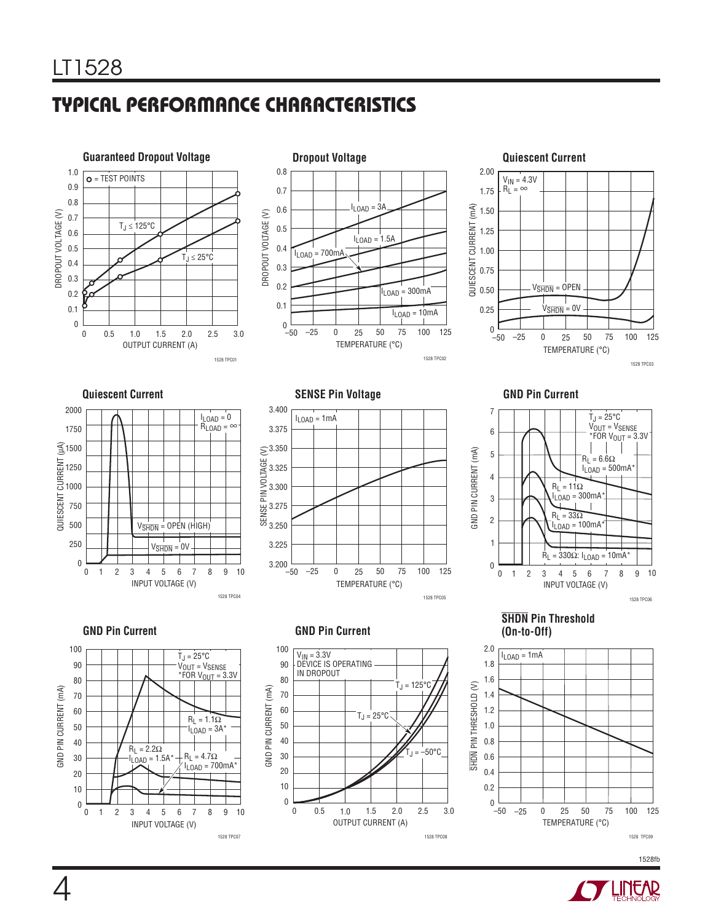# **TYPICAL PERFORMANCE CHARACTERISTICS**









**Quiescent Current Current Current Current Current Current Current Current Current Current Current Current Current Current Current Current Current Current Current Current Current Current Current Current Current Current Cur** 







**GND Pin Current GND Pin Current CND Pin Current** 



# **SHDN Pin Threshold**





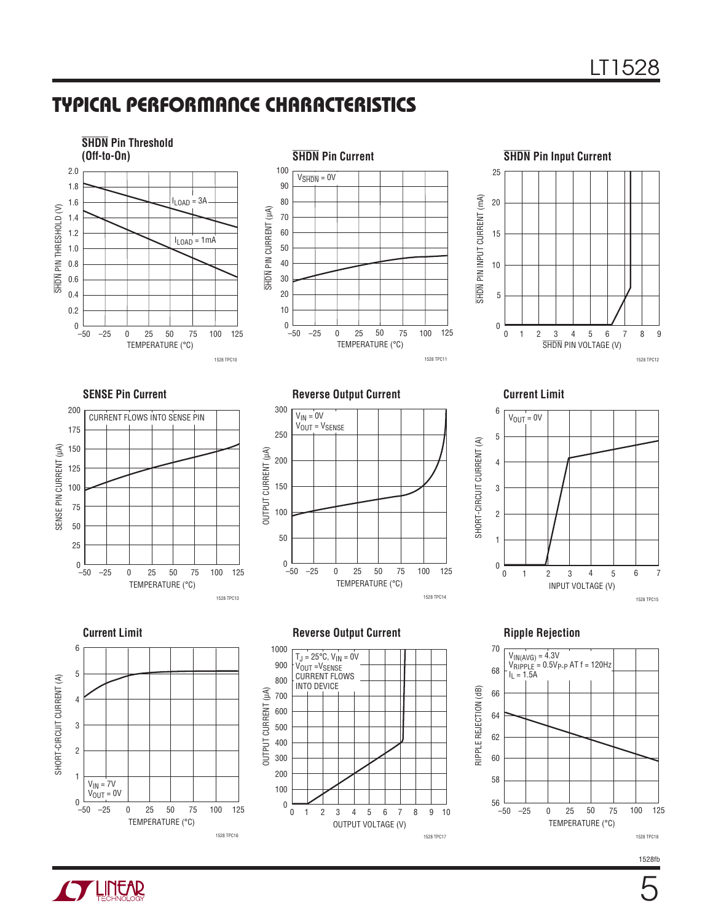## **TYPICAL PERFORMANCE CHARACTERISTICS**







**SENSE Pin Current** 



**Reverse Output Current Current Limit**











1528fb

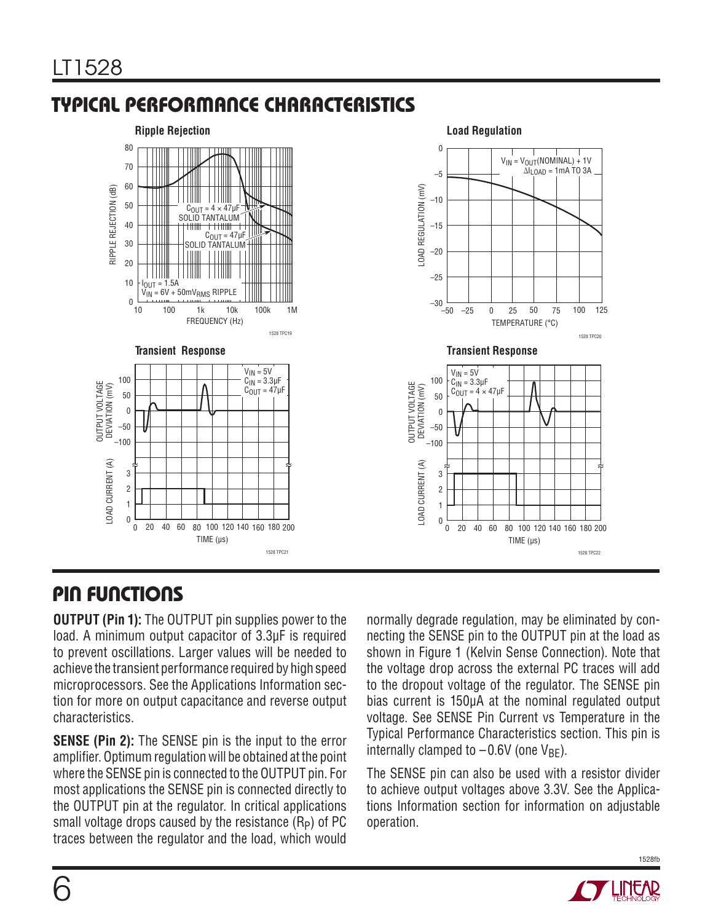# **TYPICAL PERFORMANCE CHARACTERISTICS**



## **PIN FUNCTIONS**

**OUTPUT (Pin 1):** The OUTPUT pin supplies power to the load. A minimum output capacitor of 3.3μF is required to prevent oscillations. Larger values will be needed to achieve the transient performance required by high speed microprocessors. See the Applications Information section for more on output capacitance and reverse output characteristics.

**SENSE (Pin 2):** The SENSE pin is the input to the error amplifier. Optimum regulation will be obtained at the point where the SENSE pin is connected to the OUTPUT pin. For most applications the SENSE pin is connected directly to the OUTPUT pin at the regulator. In critical applications small voltage drops caused by the resistance  $(R_P)$  of PC traces between the regulator and the load, which would

normally degrade regulation, may be eliminated by connecting the SENSE pin to the OUTPUT pin at the load as shown in Figure 1 (Kelvin Sense Connection). Note that the voltage drop across the external PC traces will add to the dropout voltage of the regulator. The SENSE pin bias current is 150μA at the nominal regulated output voltage. See SENSE Pin Current vs Temperature in the Typical Performance Characteristics section. This pin is internally clamped to  $-0.6V$  (one  $V_{BF}$ ).

The SENSE pin can also be used with a resistor divider to achieve output voltages above 3.3V. See the Applications Information section for information on adjustable operation.



1528fb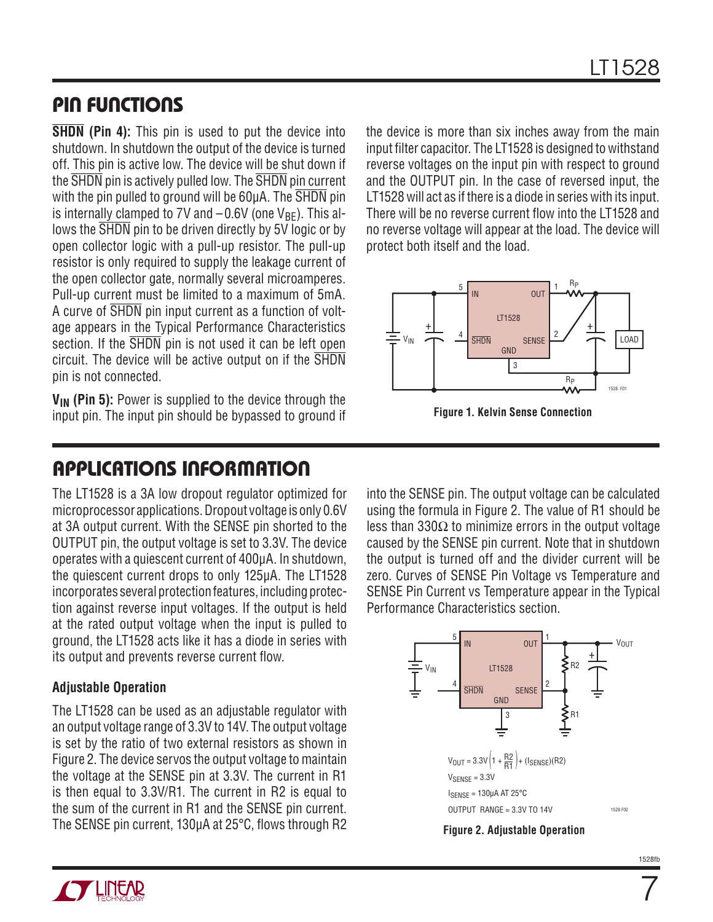#### **PIN FUNCTIONS**

**SHDN (Pin 4):** This pin is used to put the device into shutdown. In shutdown the output of the device is turned off. This pin is active low. The device will be shut down if the SHDN pin is actively pulled low. The SHDN pin current with the pin pulled to ground will be 60µA. The SHDN pin is internally clamped to 7V and  $-0.6V$  (one  $V_{BF}$ ). This allows the  $\overline{\text{SHDN}}$  pin to be driven directly by 5V logic or by open collector logic with a pull-up resistor. The pull-up resistor is only required to supply the leakage current of the open collector gate, normally several microamperes. Pull-up current must be limited to a maximum of 5mA. A curve of SHDN pin input current as a function of voltage appears in the Typical Performance Characteristics section. If the  $\overline{\text{SHDN}}$  pin is not used it can be left open circuit. The device will be active output on if the SHDN pin is not connected.

**VIN (Pin 5):** Power is supplied to the device through the input pin. The input pin should be bypassed to ground if

## **APPLICATIONS INFORMATION**

The LT1528 is a 3A low dropout regulator optimized for microprocessor applications. Dropout voltage is only 0.6V at 3A output current. With the SENSE pin shorted to the OUTPUT pin, the output voltage is set to 3.3V. The device operates with a quiescent current of 400μA. In shutdown, the quiescent current drops to only 125μA. The LT1528 incorporates several protection features, including protection against reverse input voltages. If the output is held at the rated output voltage when the input is pulled to ground, the LT1528 acts like it has a diode in series with its output and prevents reverse current flow.

#### **Adjustable Operation**

The LT1528 can be used as an adjustable regulator with an output voltage range of 3.3V to 14V. The output voltage is set by the ratio of two external resistors as shown in Figure 2. The device servos the output voltage to maintain the voltage at the SENSE pin at 3.3V. The current in R1 is then equal to 3.3V/R1. The current in R2 is equal to the sum of the current in R1 and the SENSE pin current. The SENSE pin current,  $130\mu$ A at  $25\textdegree$ C, flows through R2 the device is more than six inches away from the main input filter capacitor. The LT1528 is designed to withstand reverse voltages on the input pin with respect to ground and the OUTPUT pin. In the case of reversed input, the LT1528 will act as if there is a diode in series with its input. There will be no reverse current flow into the LT1528 and no reverse voltage will appear at the load. The device will protect both itself and the load.



**Figure 1. Kelvin Sense Connection**

into the SENSE pin. The output voltage can be calculated using the formula in Figure 2. The value of R1 should be less than 330Ω to minimize errors in the output voltage caused by the SENSE pin current. Note that in shutdown the output is turned off and the divider current will be zero. Curves of SENSE Pin Voltage vs Temperature and SENSE Pin Current vs Temperature appear in the Typical Performance Characteristics section.



**Figure 2. Adjustable Operation**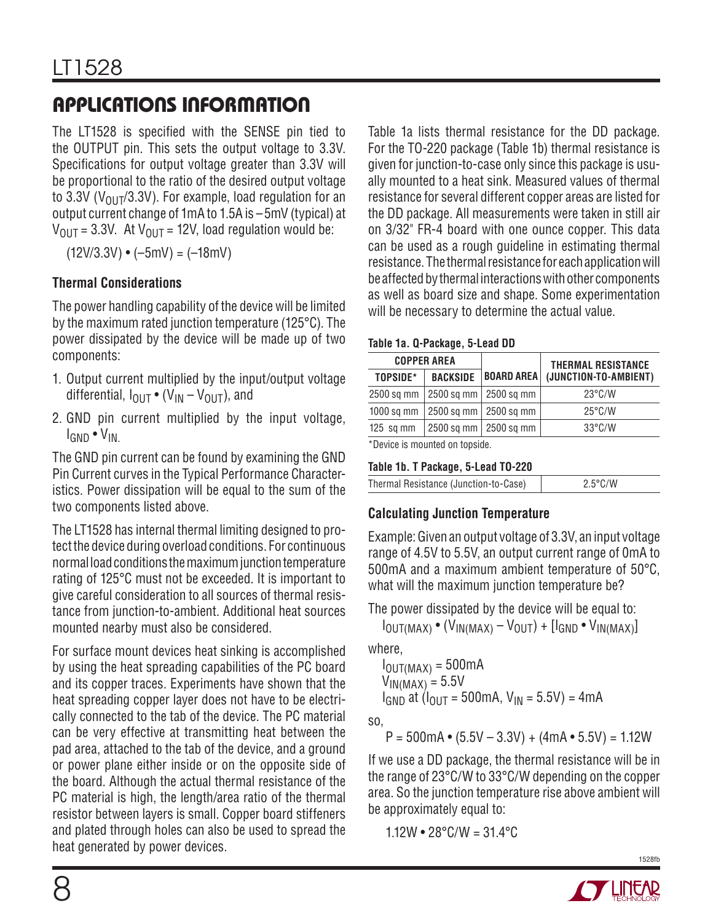# **APPLICATIONS INFORMATION**

The LT1528 is specified with the SENSE pin tied to the OUTPUT pin. This sets the output voltage to 3.3V. Specifications for output voltage greater than 3.3V will be proportional to the ratio of the desired output voltage to 3.3V ( $V_{011}$ 7/3.3V). For example, load regulation for an output current change of 1mA to 1.5A is –5mV (typical) at  $V_{\text{OUT}} = 3.3V$ . At  $V_{\text{OUT}} = 12V$ , load regulation would be:

 $(12V/3.3V) \cdot (-5mV) = (-18mV)$ 

#### **Thermal Considerations**

The power handling capability of the device will be limited by the maximum rated junction temperature (125°C). The power dissipated by the device will be made up of two components:

- 1. Output current multiplied by the input/output voltage differential,  $I_{\text{OUT}} \bullet (V_{\text{IN}} - V_{\text{OUT}})$ , and
- 2. GND pin current multiplied by the input voltage, IGND • VIN.

The GND pin current can be found by examining the GND Pin Current curves in the Typical Performance Characteristics. Power dissipation will be equal to the sum of the two components listed above.

The LT1528 has internal thermal limiting designed to protect the device during overload conditions. For continuous normal load conditions the maximum junction temperature rating of 125°C must not be exceeded. It is important to give careful consideration to all sources of thermal resistance from junction-to-ambient. Additional heat sources mounted nearby must also be considered.

For surface mount devices heat sinking is accomplished by using the heat spreading capabilities of the PC board and its copper traces. Experiments have shown that the heat spreading copper layer does not have to be electrically connected to the tab of the device. The PC material can be very effective at transmitting heat between the pad area, attached to the tab of the device, and a ground or power plane either inside or on the opposite side of the board. Although the actual thermal resistance of the PC material is high, the length/area ratio of the thermal resistor between layers is small. Copper board stiffeners and plated through holes can also be used to spread the heat generated by power devices.

Table 1a lists thermal resistance for the DD package. For the TO-220 package (Table 1b) thermal resistance is given for junction-to-case only since this package is usually mounted to a heat sink. Measured values of thermal resistance for several different copper areas are listed for the DD package. All measurements were taken in still air on 3/32" FR-4 board with one ounce copper. This data can be used as a rough guideline in estimating thermal resistance. The thermal resistance for each application will be affected by thermal interactions with other components as well as board size and shape. Some experimentation will be necessary to determine the actual value.

#### **Table 1a. Q-Package, 5-Lead DD**

| <b>COPPER AREA</b>                                                                                                    |                 |                                 | <b>THERMAL RESISTANCE</b> |  |  |
|-----------------------------------------------------------------------------------------------------------------------|-----------------|---------------------------------|---------------------------|--|--|
| TOPSIDE*                                                                                                              | <b>BACKSIDE</b> | <b>BOARD AREA</b>               | (JUNCTION-TO-AMBIENT)     |  |  |
| 2500 sq mm                                                                                                            | 2500 sq mm      | $\vert$ 2500 sq mm              | $23^{\circ}$ C/W          |  |  |
| $1000$ sq mm                                                                                                          |                 | $2500$ sq mm $\vert$ 2500 sq mm | $25^{\circ}$ C/W          |  |  |
| $125$ sq mm                                                                                                           |                 | 2500 sq mm   2500 sq mm         | $33^{\circ}$ C/W          |  |  |
| <b>Minimal and the components of the control of the set of all of the set of the set of the set of the set of the</b> |                 |                                 |                           |  |  |

\*Device is mounted on topside.

#### **Table 1b. T Package, 5-Lead TO-220**

| Thermal Resistance (Junction-to-Case) |  |
|---------------------------------------|--|
|                                       |  |

#### **Calculating Junction Temperature**

Example: Given an output voltage of 3.3V, an input voltage range of 4.5V to 5.5V, an output current range of 0mA to 500mA and a maximum ambient temperature of 50°C, what will the maximum junction temperature be?

The power dissipated by the device will be equal to:

 $I_{\text{OUT}(MAX)}$  •  $(V_{\text{IN}(MAX)} - V_{\text{OUT}}) + [I_{\text{GND}}$  •  $V_{\text{IN}(MAX)}]$ 

where,

 $I_{\text{OUT} (MAX)} = 500 \text{mA}$  $V_{IN(MAX)} = 5.5V$  $I_{GND}$  at ( $I_{OUIT}$  = 500mA,  $V_{IN}$  = 5.5V) = 4mA

so,

 $P = 500$ mA • (5.5V – 3.3V) + (4mA • 5.5V) = 1.12W

If we use a DD package, the thermal resistance will be in the range of 23°C/W to 33°C/W depending on the copper area. So the junction temperature rise above ambient will be approximately equal to:

 $1.12W \cdot 28^{\circ}$ C/W =  $31.4^{\circ}$ C

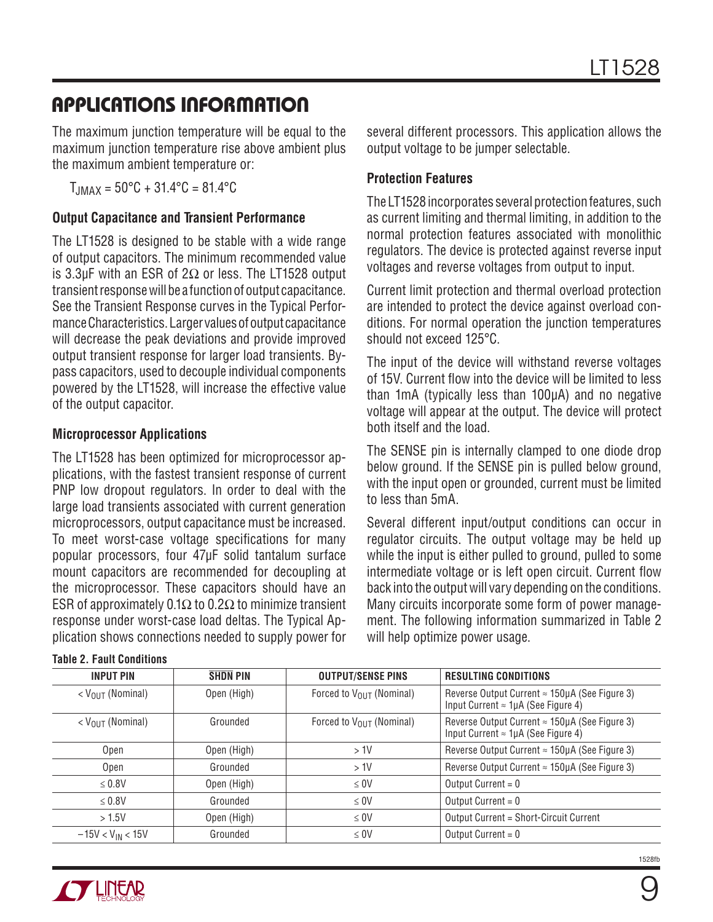## **APPLICATIONS INFORMATION**

The maximum junction temperature will be equal to the maximum junction temperature rise above ambient plus the maximum ambient temperature or:

 $T_{JMAX} = 50^{\circ}C + 31.4^{\circ}C = 81.4^{\circ}C$ 

#### **Output Capacitance and Transient Performance**

The LT1528 is designed to be stable with a wide range of output capacitors. The minimum recommended value is 3.3μF with an ESR of 2Ω or less. The LT1528 output transient response will be a function of output capacitance. See the Transient Response curves in the Typical Performance Characteristics. Larger values of output capacitance will decrease the peak deviations and provide improved output transient response for larger load transients. Bypass capacitors, used to decouple individual components powered by the LT1528, will increase the effective value of the output capacitor.

#### **Microprocessor Applications**

The LT1528 has been optimized for microprocessor applications, with the fastest transient response of current PNP low dropout regulators. In order to deal with the large load transients associated with current generation microprocessors, output capacitance must be increased. To meet worst-case voltage specifications for many popular processors, four 47μF solid tantalum surface mount capacitors are recommended for decoupling at the microprocessor. These capacitors should have an ESR of approximately 0.1 $\Omega$  to 0.2 $\Omega$  to minimize transient response under worst-case load deltas. The Typical Application shows connections needed to supply power for

| <b>INPUT PIN</b>        | <b>SHDN PIN</b> | <b>OUTPUT/SENSE PINS</b>       |  |
|-------------------------|-----------------|--------------------------------|--|
| $<$ $V_{OII}$ (Nominal) | Open (High)     | Forced to $V_{OIIT}$ (Nominal) |  |
| $<$ $V_{OII}$ (Nominal) | Grounded        | Forced to $V_{OIIT}$ (Nominal) |  |
| Open                    | Open (High)     | >1V                            |  |
| Open                    | Grounded        | $>1$ V                         |  |
|                         |                 |                                |  |

several different processors. This application allows the output voltage to be jumper selectable.

#### **Protection Features**

The LT1528 incorporates several protection features, such as current limiting and thermal limiting, in addition to the normal protection features associated with monolithic regulators. The device is protected against reverse input voltages and reverse voltages from output to input.

Current limit protection and thermal overload protection are intended to protect the device against overload conditions. For normal operation the junction temperatures should not exceed 125°C.

The input of the device will withstand reverse voltages of 15V. Current flow into the device will be limited to less than 1mA (typically less than 100μA) and no negative voltage will appear at the output. The device will protect both itself and the load.

The SENSE pin is internally clamped to one diode drop below ground. If the SENSE pin is pulled below ground, with the input open or grounded, current must be limited to less than 5mA.

Several different input/output conditions can occur in regulator circuits. The output voltage may be held up while the input is either pulled to ground, pulled to some intermediate voltage or is left open circuit. Current flow back into the output will vary depending on the conditions. Many circuits incorporate some form of power management. The following information summarized in Table 2 will help optimize power usage.

| <b>INPUT PIN</b>         | <b>SHDN PIN</b> | <b>OUTPUT/SENSE PINS</b>             | <b>RESULTING CONDITIONS</b>                                                                                 |
|--------------------------|-----------------|--------------------------------------|-------------------------------------------------------------------------------------------------------------|
| $<$ $V_{OIIT}$ (Nominal) | Open (High)     | Forced to V <sub>OUT</sub> (Nominal) | Reverse Output Current $\approx$ 150µA (See Figure 3)<br>Input Current $\approx 1 \mu A$ (See Figure 4)     |
| $<$ $V_{OIII}$ (Nominal) | Grounded        | Forced to V <sub>OUT</sub> (Nominal) | Reverse Output Current $\approx 150 \mu$ A (See Figure 3)<br>Input Current $\approx 1 \mu A$ (See Figure 4) |
| Open                     | Open (High)     | $>1$ V                               | Reverse Output Current $\approx$ 150µA (See Figure 3)                                                       |
| Open                     | Grounded        | $>1$ V                               | Reverse Output Current $\approx$ 150µA (See Figure 3)                                                       |
| $\leq 0.8V$              | Open (High)     | $\leq 0$ V                           | Output Current = $0$                                                                                        |
| $\leq 0.8V$              | Grounded        | $\leq 0$ V                           | Output Current = $0$                                                                                        |
| >1.5V                    | Open (High)     | $\leq 0$ V                           | Output Current = Short-Circuit Current                                                                      |
| $-15V < V_{IN} < 15V$    | Grounded        | $\leq 0$ V                           | Output Current = $0$                                                                                        |

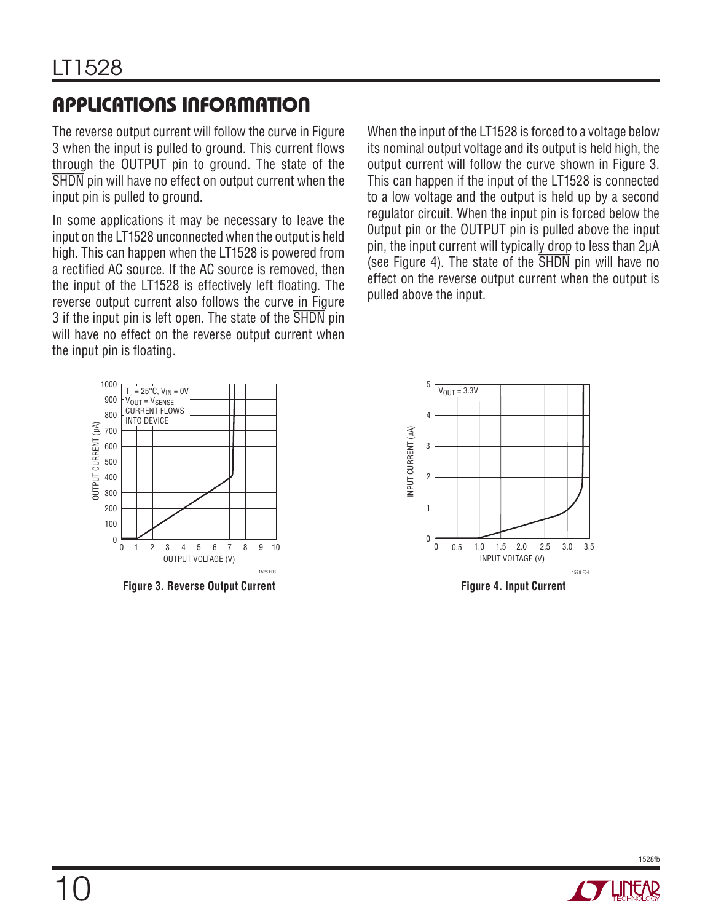# **APPLICATIONS INFORMATION**

The reverse output current will follow the curve in Figure 3 when the input is pulled to ground. This current flows through the OUTPUT pin to ground. The state of the SHDN pin will have no effect on output current when the input pin is pulled to ground.

In some applications it may be necessary to leave the input on the LT1528 unconnected when the output is held high. This can happen when the LT1528 is powered from a rectified AC source. If the AC source is removed, then the input of the LT1528 is effectively left floating. The reverse output current also follows the curve in Figure 3 if the input pin is left open. The state of the  $\overline{\text{SHDN}}$  pin will have no effect on the reverse output current when the input pin is floating.

When the input of the LT1528 is forced to a voltage below its nominal output voltage and its output is held high, the output current will follow the curve shown in Figure 3. This can happen if the input of the LT1528 is connected to a low voltage and the output is held up by a second regulator circuit. When the input pin is forced below the 0utput pin or the OUTPUT pin is pulled above the input pin, the input current will typically drop to less than 2μA (see Figure 4). The state of the SHDN pin will have no effect on the reverse output current when the output is pulled above the input.



**Figure 3. Reverse Output Current**



**Figure 4. Input Current**

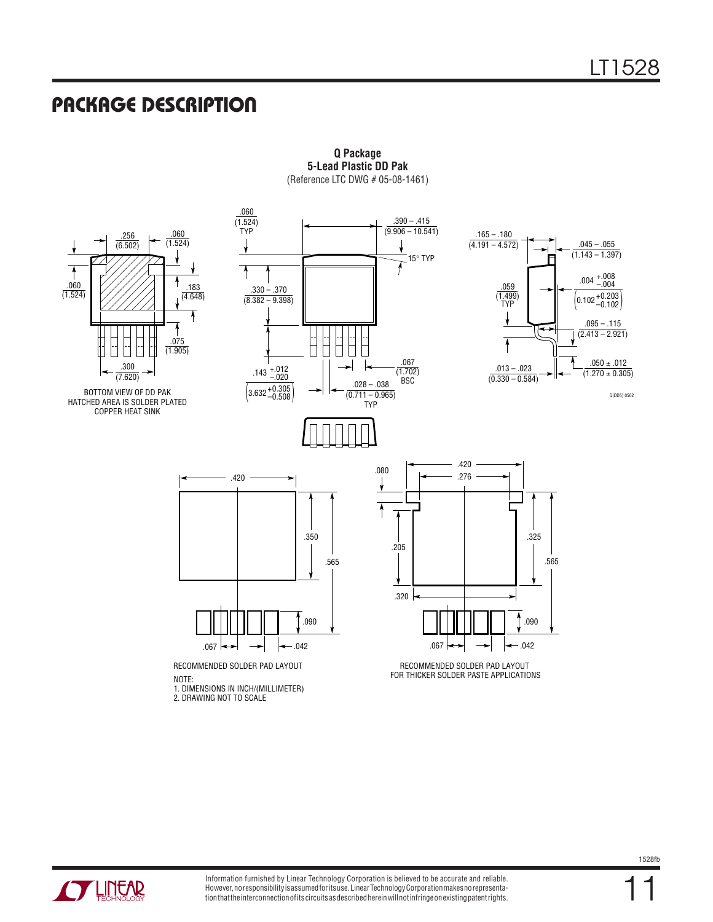#### **PACKAGE DESCRIPTION**



**Q Package 5-Lead Plastic DD Pak** (Reference LTC DWG # 05-08-1461)